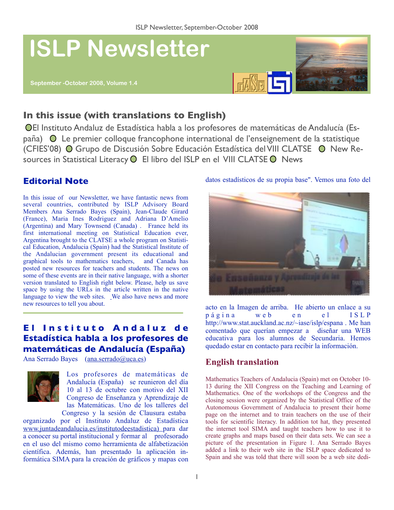

# **In this issue (with translations to English)**

El Instituto Andaluz de Estadística habla a los profesores de matemáticas de Andalucía (España) Le premier colloque francophone international de l'enseignement de la statistique (CFIES'08) ⊙ Grupo de Discusión Sobre Educación Estadística del VIII CLATSE ⊙ New Resources in Statistical Literacy O El libro del ISLP en el VIII CLATSE O News

# **Editorial Note**

In this issue of our Newsletter, we have fantastic news from several countries, contributed by ISLP Advisory Board Members Ana Serrado Bayes (Spain), Jean-Claude Girard (France), Maria Ines Rodriguez and Adriana D'Amelio (Argentina) and Mary Townsend (Canada) . France held its first international meeting on Statistical Education ever, Argentina brought to the CLATSE a whole program on Statistical Education, Andalucia (Spain) had the Statistical Institute of the Andalucian government present its educational and graphical tools to mathematics teachers, and Canada has posted new resources for teachers and students. The news on some of these events are in their native language, with a shorter version translated to English right below. Please, help us save space by using the URLs in the article written in the native language to view the web sites. We also have news and more new resources to tell you about.

## **El Instituto Andaluz de Estadística habla a los profesores de matemáticas de Andalucía (España)**

Ana Serrado Bayes ([ana.serrado@uca.es](mailto:ana.serrado@uca.es))



Los profesores de matemáticas de Andalucía (España) se reunieron del día 10 al 13 de octubre con motivo del XII Congreso de Enseñanza y Aprendizaje de las Matemáticas. Uno de los talleres del Congreso y la sesión de Clausura estaba

organizado por el Instituto Andaluz de Estadística [www.juntadeandalucia.es/institutodeestadistica\)](http://www.juntadeandalucia.es/institutodeestadistica)) para dar a conocer su portal institucional y formar al profesorado en el uso del mismo como herramienta de alfabetización científica. Además, han presentado la aplicación informática SIMA para la creación de gráficos y mapas con

#### datos estadísticos de su propia base". Vemos una foto del



acto en la Imagen de arriba. He abierto un enlace a su página web en el <http://www.stat.auckland.ac.nz/~iase/islp/espana>. Me han comentado que querían empezar a diseñar una WEB educativa para los alumnos de Secundaria. Hemos quedado estar en contacto para recibir la información.

### **English translation**

Mathematics Teachers of Andalucia (Spain) met on October 10- 13 during the XII Congress on the Teaching and Learning of Mathematics. One of the workshops of the Congress and the closing session were organized by the Statistical Office of the Autonomous Government of Andalucia to present their home page on the internet and to train teachers on the use of their tools for scientific literacy. In addition tot hat, they presented the internet tool SIMA and taught teachers how to use it to create graphs and maps based on their data sets. We can see a picture of the presentation in Figure 1. Ana Serrado Bayes added a link to their web site in the ISLP space dedicated to Spain and she was told that there will soon be a web site dedi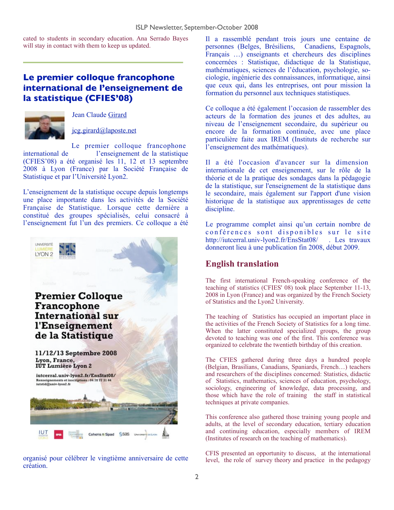cated to students in secondary education. Ana Serrado Bayes will stay in contact with them to keep us updated.

# **Le premier colloque francophone international de l'enseignement de la statistique (CFIES'08)**



Jean Claude [Girard](mailto:jcg.girard@laposte.netGirard)

#### [jcg.girard@laposte.net](mailto:jcg.girard@laposte.net)

Le premier colloque francophone international de l'enseignement de la statistique (CFIES'08) a été organisé les 11, 12 et 13 septembre 2008 à Lyon (France) par la Société Française de Statistique et par l'Université Lyon2.

L'enseignement de la statistique occupe depuis longtemps une place importante dans les activités de la Société Française de Statistique. Lorsque cette dernière a constitué des groupes spécialisés, celui consacré à l'enseignement fut l'un des premiers. Ce colloque a été



organisé pour célébrer le vingtième anniversaire de cette création.

Il a rassemblé pendant trois jours une centaine de personnes (Belges, Brésiliens, Canadiens, Espagnols, Français …) enseignants et chercheurs des disciplines concernées : Statistique, didactique de la Statistique, mathématiques, sciences de l'éducation, psychologie, sociologie, ingénierie des connaissances, informatique, ainsi que ceux qui, dans les entreprises, ont pour mission la formation du personnel aux techniques statistiques.

Ce colloque a été également l'occasion de rassembler des acteurs de la formation des jeunes et des adultes, au niveau de l'enseignement secondaire, du supérieur ou encore de la formation continuée, avec une place particulière faite aux IREM (Instituts de recherche sur l'enseignement des mathématiques).

Il a été l'occasion d'avancer sur la dimension internationale de cet enseignement, sur le rôle de la théorie et de la pratique des sondages dans la pédagogie de la statistique, sur l'enseignement de la statistique dans le secondaire, mais également sur l'apport d'une vision historique de la statistique aux apprentissages de cette discipline.

Le programme complet ainsi qu'un certain nombre de conférences sont disponibles sur le site [http://iutcerral.univ-lyon2.fr/EnsStat08/](http://%22) . Les travaux donneront lieu à une publication fin 2008, début 2009.

### **English translation**

The first international French-speaking conference of the teaching of statistics (CFIES' 08) took place September 11-13, 2008 in Lyon (France) and was organized by the French Society of Statistics and the Lyon2 University.

The teaching of Statistics has occupied an important place in the activities of the French Society of Statistics for a long time. When the latter constituted specialized groups, the group devoted to teaching was one of the first. This conference was organized to celebrate the twentieth birthday of this creation.

The CFIES gathered during three days a hundred people (Belgian, Brasilians, Canadians, Spaniards, French…) teachers and researchers of the disciplines concerned: Statistics, didactic of Statistics, mathematics, sciences of education, psychology, sociology, engineering of knowledge, data processing, and those which have the role of training the staff in statistical techniques at private companies.

This conference also gathered those training young people and adults, at the level of secondary education, tertiary education and continuing education, especially members of IREM (Institutes of research on the teaching of mathematics).

CFIS presented an opportunity to discuss, at the international level, the role of survey theory and practice in the pedagogy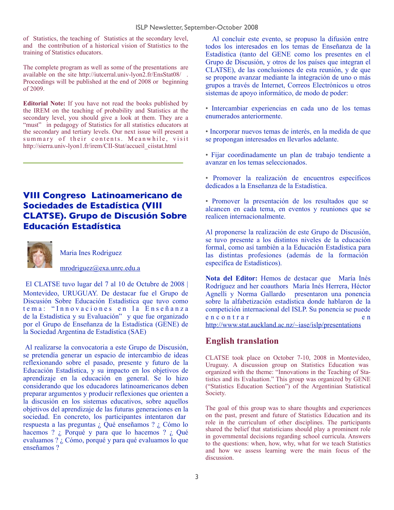of Statistics, the teaching of Statistics at the secondary level, and the contribution of a historical vision of Statistics to the training of Statistics educators.

The complete program as well as some of the presentations are available on the site <http://iutcerral.univ-lyon2.fr/EnsStat08/>. Proceedings will be published at the end of 2008 or beginning of 2009.

**Editorial Note:** If you have not read the books published by the IREM on the teaching of probability and Statistics at the secondary level, you should give a look at them. They are a "must" in pedagogy of Statistics for all statistics educators at the secondary and tertiary levels. Our next issue will present a summary of their contents. Meanwhile, visit http://sierra.univ-lyon1.fr/irem/CII-Stat/accueil\_ciistat.html

# **VIII Congreso Latinoamericano de Sociedades de Estadística (VIII CLATSE). Grupo de Discusión Sobre Educación Estadística**



Maria Ines Rodriguez

[mrodriguez@exa.unrc.edu.a](mailto:mrodriguez@exa.unrc.edu.a)

El CLATSE tuvo lugar del 7 al 10 de Octubre de 2008 | Montevideo, URUGUAY. De destacar fue el Grupo de Discusión Sobre Educación Estadística que tuvo como tema: "Innovaciones en la Enseñanza de la Estadística y su Evaluación" y que fue organizado por el Grupo de Enseñanza de la Estadística (GENE) de la Sociedad Argentina de Estadística (SAE)

 Al realizarse la convocatoria a este Grupo de Discusión, se pretendía generar un espacio de intercambio de ideas reflexionando sobre el pasado, presente y futuro de la Educación Estadística, y su impacto en los objetivos de aprendizaje en la educación en general. Se lo hizo considerando que los educadores latinoamericanos deben preparar argumentos y producir reflexiones que orienten a la discusión en los sistemas educativos, sobre aquellos objetivos del aprendizaje de las futuras generaciones en la sociedad. En concreto, los participantes intentaron dar respuesta a las preguntas ¿ Qué enseñamos ? ¿ Cómo lo hacemos ? *i*, Porqué y para que lo hacemos ? *i*, Qué evaluamos ? ¿ Cómo, porqué y para qué evaluamos lo que enseñamos ?

 Al concluir este evento, se propuso la difusión entre todos los interesados en los temas de Enseñanza de la Estadística (tanto del GENE como los presentes en el Grupo de Discusión, y otros de los países que integran el CLATSE), de las conclusiones de esta reunión, y de que se propone avanzar mediante la integración de uno o más grupos a través de Internet, Correos Electrónicos u otros sistemas de apoyo informático, de modo de poder:

• Intercambiar experiencias en cada uno de los temas enumerados anteriormente.

- Incorporar nuevos temas de interés, en la medida de que se propongan interesados en llevarlos adelante.
- Fijar coordinadamente un plan de trabajo tendiente a avanzar en los temas seleccionados.
- Promover la realización de encuentros específicos dedicados a la Enseñanza de la Estadística.
- Promover la presentación de los resultados que se alcancen en cada tema, en eventos y reuniones que se realicen internacionalmente.

Al proponerse la realización de este Grupo de Discusión, se tuvo presente a los distintos niveles de la educación formal, como así también a la Educación Estadística para las distintas profesiones (además de la formación específica de Estadísticos).

**Nota del Editor:** Hemos de destacar que María Inés Rodríguez and her coauthors María Inés Herrera, Héctor Agnelli y Norma Gallardo presentaron una ponencia sobre la alfabetización estadística donde hablaron de la competición internacional del ISLP. Su ponencia se puede e n c o n t r a r e n e n e n <http://www.stat.auckland.ac.nz/~iase/islp/presentations>

### **English translation**

CLATSE took place on October 7-10, 2008 in Montevideo, Uruguay. A discussion group on Statistics Education was organized with the theme: "Innovations in the Teaching of Statistics and its Evaluation." This group was organized by GENE ("Statistics Education Section") of the Argentinian Statistical Society.

The goal of this group was to share thoughts and experiences on the past, present and future of Statistics Education and its role in the curriculum of other disciplines. The participants shared the belief that statisticians should play a prominent role in governmental decisions regarding school curricula. Answers to the questions: when, how, why, what for we teach Statistics and how we assess learning were the main focus of the discussion.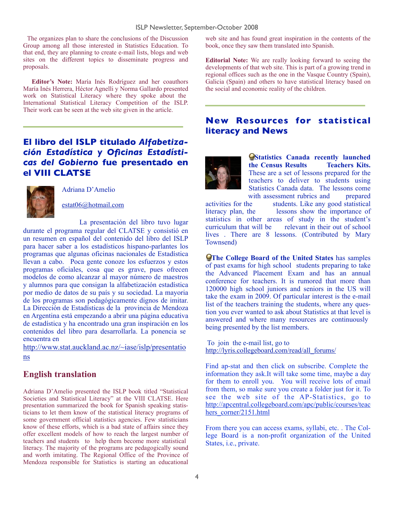The organizes plan to share the conclusions of the Discussion Group among all those interested in Statistics Education. To that end, they are planning to create e-mail lists, blogs and web sites on the different topics to disseminate progress and proposals.

 **Editor's Note:** María Inés Rodríguez and her coauthors María Inés Herrera, Héctor Agnelli y Norma Gallardo presented work on Statistical Literacy where they spoke about the International Statistical Literacy Competition of the ISLP. Their work can be seen at the web site given in the article.

## **El libro del ISLP titulado** *Alfabetización Estadística y Oficinas Estadísticas del Gobierno* **fue presentado en el VIII CLATSE**



Adriana D'Amelio

[estat06@hotmail.com](mailto:estat06@hotmail.com)

La presentación del libro tuvo lugar durante el programa regular del CLATSE y consistió en un resumen en español del contenido del libro del ISLP para hacer saber a los estadísticos hispano-parlantes los programas que algunas oficinas nacionales de Estadística llevan a cabo. Poca gente conoze los esfuerzos y estos programas oficiales, cosa que es grave, pues ofrecen modelos de como alcanzar al mayor número de maestros y alumnos para que consigan la alfabetización estadística por medio de datos de su país y su sociedad. La mayoria de los programas son pedagógicamente dignos de imitar. La Dirección de Estadísticas de la provincia de Mendoza en Argentina está empezando a abrir una página educativa de estadística y ha encontrado una gran inspiración en los contenidos del libro para desarrollarla. La ponencia se encuentra en

[http://www.stat.auckland.ac.nz/~iase/islp/presentatio](http://www.stat.auckland.ac.nz/~iase/islp/presentations) [ns](http://www.stat.auckland.ac.nz/~iase/islp/presentations)

### **English translation**

Adriana D'Amelio presented the ISLP book titled "Statistical Societies and Statistical Literacy" at the VIII CLATSE. Here presentation summarized the book for Spanish speaking statisticians to let them know of the statistical literacy programs of some government official statistics agencies. Few statisticians know of these efforts, which is a bad state of affairs since they offer excellent models of how to reach the largest number of teachers and students to help them become more statistical literacy. The majority of the programs are pedagogically sound and worth imitating. The Regional Office of the Province of Mendoza responsible for Statistics is starting an educational

web site and has found great inspiration in the contents of the book, once they saw them translated into Spanish.

**Editorial Note:** We are really looking forward to seeing the developments of that web site. This is part of a growing trend in regional offices such as the one in the Vasque Country (Spain), Galicia (Spain) and others to have statistical literacy based on the social and economic reality of the children.

### **New Resources for statistical literacy and News**



**Statistics Canada recently launched the Census Results Teachers Kits.** These are a set of lessons prepared for the teachers to deliver to students using Statistics Canada data. The lessons come with assessment rubrics and prepared

activities for the students. Like any good statistical literacy plan, the lessons show the importance of statistics in other areas of study in the student's curriculum that will be relevant in their out of school lives . There are 8 lessons. (Contributed by Mary Townsend)

**The College Board of the United States** has samples of past exams for high school students preparing to take the Advanced Placement Exam and has an annual conference for teachers. It is rumored that more than 120000 high school juniors and seniors in the US will take the exam in 2009. Of particular interest is the e-mail list of the teachers training the students, where any question you ever wanted to ask about Statistics at that level is answered and where many resources are continuously being presented by the list members.

To join the e-mail list, go to [http://lyris.collegeboard.com/read/all\\_forums/](http://lyris.collegeboard.com/read/all_forums/)

Find ap-stat and then click on subscribe. Complete the information they ask.It will take some time, maybe a day for them to enroll you. You will receive lots of email from them, so make sure you create a folder just for it. To see the web site of the AP-Statistics, go to [http://apcentral.collegeboard.com/apc/public/courses/teac](http://apcentral.collegeboard.com/apc/public/courses/teachers_corner/2151.html) [hers\\_corner/2151.html](http://apcentral.collegeboard.com/apc/public/courses/teachers_corner/2151.html)

From there you can access exams, syllabi, etc. . The College Board is a non-profit organization of the United States, i.e., private.